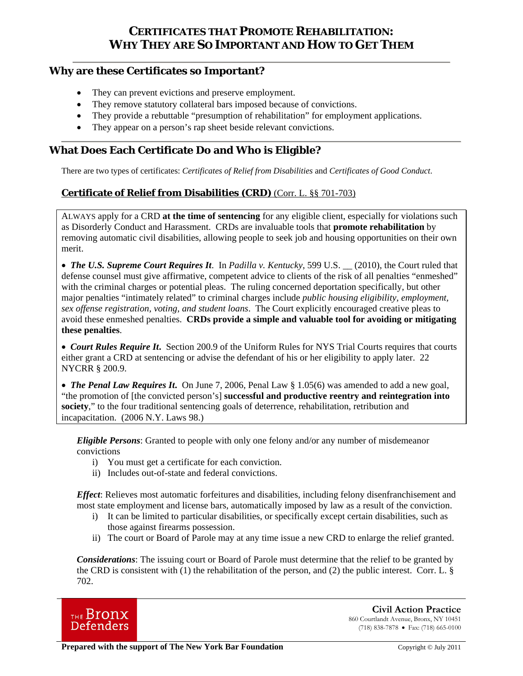# **CERTIFICATES THAT PROMOTE REHABILITATION: WHY THEY ARE SO IMPORTANT AND HOW TO GET THEM**

### **Why are these Certificates so Important?**

- They can prevent evictions and preserve employment.
- They remove statutory collateral bars imposed because of convictions.
- They provide a rebuttable "presumption of rehabilitation" for employment applications.
- They appear on a person's rap sheet beside relevant convictions.

## **What Does Each Certificate Do and Who is Eligible?**

There are two types of certificates: *Certificates of Relief from Disabilities* and *Certificates of Good Conduct*.

## **Certificate of Relief from Disabilities (CRD)** (Corr. L. §§ 701-703)

ALWAYS apply for a CRD **at the time of sentencing** for any eligible client, especially for violations such as Disorderly Conduct and Harassment. CRDs are invaluable tools that **promote rehabilitation** by removing automatic civil disabilities, allowing people to seek job and housing opportunities on their own merit.

 *The U.S. Supreme Court Requires It*. In *Padilla v. Kentucky*, 599 U.S. \_\_ (2010), the Court ruled that defense counsel must give affirmative, competent advice to clients of the risk of all penalties "enmeshed" with the criminal charges or potential pleas. The ruling concerned deportation specifically, but other major penalties "intimately related" to criminal charges include *public housing eligibility, employment, sex offense registration, voting, and student loans*. The Court explicitly encouraged creative pleas to avoid these enmeshed penalties. **CRDs provide a simple and valuable tool for avoiding or mitigating these penalties**.

 *Court Rules Require It***.** Section 200.9 of the Uniform Rules for NYS Trial Courts requires that courts either grant a CRD at sentencing or advise the defendant of his or her eligibility to apply later. 22 NYCRR § 200.9.

 *The Penal Law Requires It***.** On June 7, 2006, Penal Law § 1.05(6) was amended to add a new goal, "the promotion of [the convicted person's] **successful and productive reentry and reintegration into society**," to the four traditional sentencing goals of deterrence, rehabilitation, retribution and incapacitation. (2006 N.Y. Laws 98.)

*Eligible Persons*: Granted to people with only one felony and/or any number of misdemeanor convictions

- i) You must get a certificate for each conviction.
- ii) Includes out-of-state and federal convictions.

*Effect*: Relieves most automatic forfeitures and disabilities, including felony disenfranchisement and most state employment and license bars, automatically imposed by law as a result of the conviction.

- i) It can be limited to particular disabilities, or specifically except certain disabilities, such as those against firearms possession.
- ii) The court or Board of Parole may at any time issue a new CRD to enlarge the relief granted.

*Considerations*: The issuing court or Board of Parole must determine that the relief to be granted by the CRD is consistent with (1) the rehabilitation of the person, and (2) the public interest. Corr. L.  $\S$ 702.



 **Civil Action Practice** 860 Courtlandt Avenue, Bronx, NY 10451 (718) 838-7878 Fax: (718) 665-0100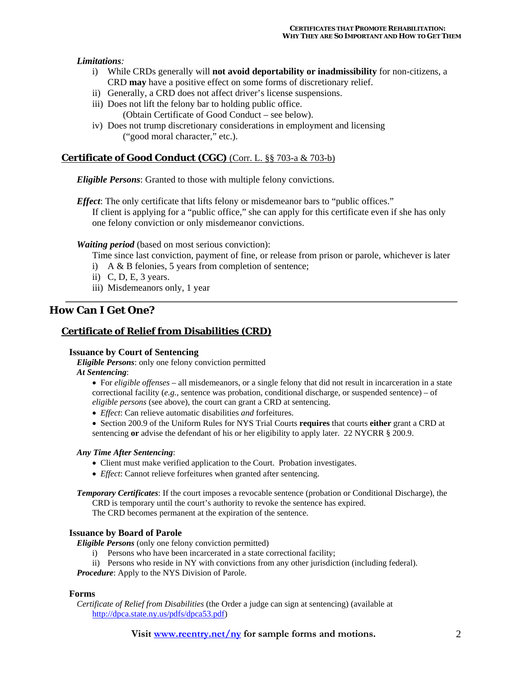#### *Limitations:*

- i) While CRDs generally will **not avoid deportability or inadmissibility** for non-citizens, a CRD **may** have a positive effect on some forms of discretionary relief.
- ii) Generally, a CRD does not affect driver's license suspensions.
- iii) Does not lift the felony bar to holding public office.
	- (Obtain Certificate of Good Conduct see below).
- iv) Does not trump discretionary considerations in employment and licensing ("good moral character," etc.).

### **Certificate of Good Conduct (CGC)** (Corr. L. §§ 703-a & 703-b)

*Eligible Persons*: Granted to those with multiple felony convictions.

*Effect*: The only certificate that lifts felony or misdemeanor bars to "public offices." If client is applying for a "public office," she can apply for this certificate even if she has only one felony conviction or only misdemeanor convictions.

#### *Waiting period* (based on most serious conviction):

Time since last conviction, payment of fine, or release from prison or parole, whichever is later

- i) A & B felonies, 5 years from completion of sentence;
- ii) C, D, E, 3 years.
- iii) Misdemeanors only, 1 year

## **How Can I Get One?**

### **Certificate of Relief from Disabilities (CRD)**

#### **Issuance by Court of Sentencing**

*Eligible Persons*: only one felony conviction permitted

#### *At Sentencing*:

- For *eligible offenses* all misdemeanors, or a single felony that did not result in incarceration in a state correctional facility (*e.g.*, sentence was probation, conditional discharge, or suspended sentence) – of *eligible persons* (see above), the court can grant a CRD at sentencing.
- *Effect*: Can relieve automatic disabilities *and* forfeitures.
- Section 200.9 of the Uniform Rules for NYS Trial Courts **requires** that courts **either** grant a CRD at sentencing **or** advise the defendant of his or her eligibility to apply later. 22 NYCRR § 200.9.

#### *Any Time After Sentencing*:

- Client must make verified application to the Court. Probation investigates.
- *Effect*: Cannot relieve forfeitures when granted after sentencing.

*Temporary Certificates*: If the court imposes a revocable sentence (probation or Conditional Discharge), the CRD is temporary until the court's authority to revoke the sentence has expired.

The CRD becomes permanent at the expiration of the sentence.

#### **Issuance by Board of Parole**

*Eligible Persons* (only one felony conviction permitted)

- i) Persons who have been incarcerated in a state correctional facility;
- ii) Persons who reside in NY with convictions from any other jurisdiction (including federal).

*Procedure*: Apply to the NYS Division of Parole.

#### **Forms**

 *Certificate of Relief from Disabilities* (the Order a judge can sign at sentencing) (available at http://dpca.state.ny.us/pdfs/dpca53.pdf)

**Visit www.reentry.net/ny for sample forms and motions.** 2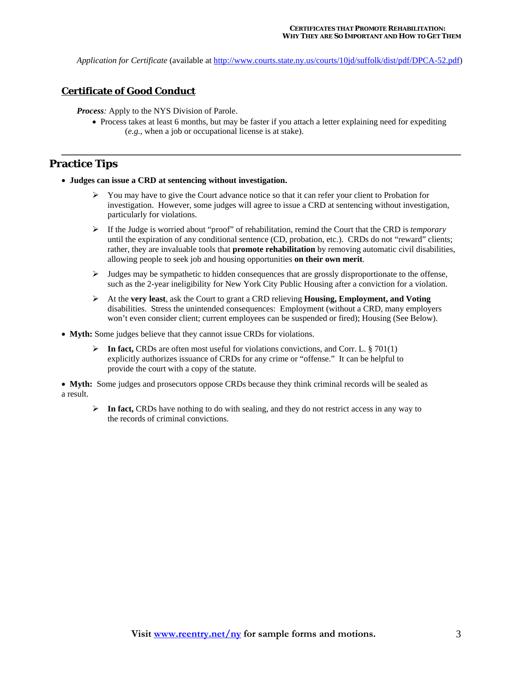*Application for Certificate* (available at http://www.courts.state.ny.us/courts/10jd/suffolk/dist/pdf/DPCA-52.pdf)

#### **Certificate of Good Conduct**

*Process:* Apply to the NYS Division of Parole.

• Process takes at least 6 months, but may be faster if you attach a letter explaining need for expediting (*e.g.*, when a job or occupational license is at stake).

### **Practice Tips**

- **Judges can issue a CRD at sentencing without investigation.**
	- $\triangleright$  You may have to give the Court advance notice so that it can refer your client to Probation for investigation. However, some judges will agree to issue a CRD at sentencing without investigation, particularly for violations.
	- If the Judge is worried about "proof" of rehabilitation, remind the Court that the CRD is *temporary* until the expiration of any conditional sentence (CD, probation, etc.). CRDs do not "reward" clients; rather, they are invaluable tools that **promote rehabilitation** by removing automatic civil disabilities, allowing people to seek job and housing opportunities **on their own merit**.
	- $\triangleright$  Judges may be sympathetic to hidden consequences that are grossly disproportionate to the offense, such as the 2-year ineligibility for New York City Public Housing after a conviction for a violation.
	- At the **very least**, ask the Court to grant a CRD relieving **Housing, Employment, and Voting** disabilities. Stress the unintended consequences: Employment (without a CRD, many employers won't even consider client; current employees can be suspended or fired); Housing (See Below).
- **Myth:** Some judges believe that they cannot issue CRDs for violations.
	- **In fact,** CRDs are often most useful for violations convictions, and Corr. L. § 701(1) explicitly authorizes issuance of CRDs for any crime or "offense." It can be helpful to provide the court with a copy of the statute.

 **Myth:** Some judges and prosecutors oppose CRDs because they think criminal records will be sealed as a result.

**EXTER** In fact, CRDs have nothing to do with sealing, and they do not restrict access in any way to the records of criminal convictions.